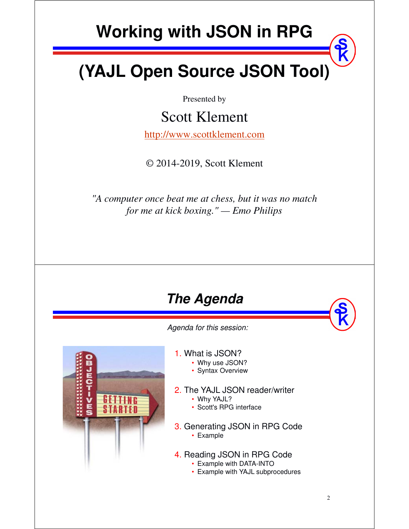# **Working with JSON in RPG**

# **(YAJL Open Source JSON Tool)**

Presented by

## Scott Klement

http://www.scottklement.com

© 2014-2019, Scott Klement

*"A computer once beat me at chess, but it was no match for me at kick boxing." — Emo Philips*



*Agenda for this session:*



1. What is JSON?

- Why use JSON?
- Syntax Overview
- 2. The YAJL JSON reader/writer
	- Why YAJL?
	- Scott's RPG interface
- 3. Generating JSON in RPG Code • Example
- 4. Reading JSON in RPG Code
	- Example with DATA-INTO
	- Example with YAJL subprocedures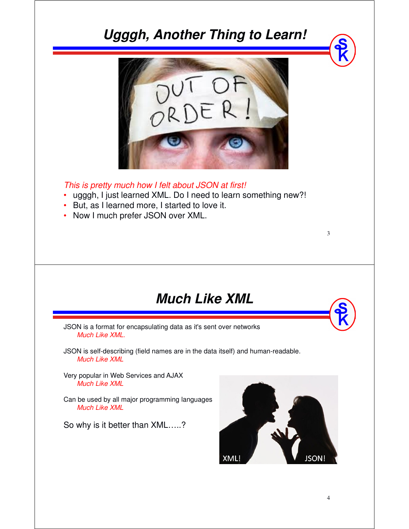## **Ugggh, Another Thing to Learn!**



*This is pretty much how I felt about JSON at first!*

- •ugggh, I just learned XML. Do I need to learn something new?!
- •But, as I learned more, I started to love it.
- Now I much prefer JSON over XML.

#### **Much Like XML**

JSON is a format for encapsulating data as it's sent over networks *Much Like XML.*

JSON is self-describing (field names are in the data itself) and human-readable. *Much Like XML*

Very popular in Web Services and AJAX *Much Like XML*

Can be used by all major programming languages *Much Like XML*

So why is it better than XML…..?

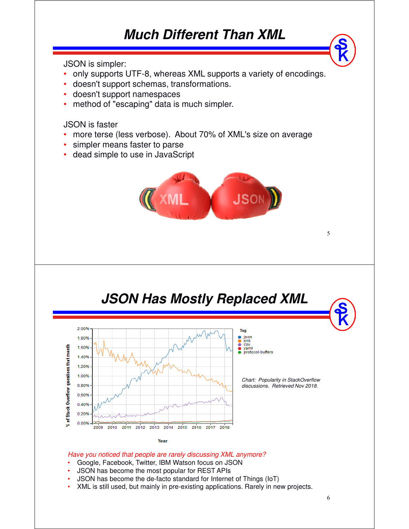## **Much Different Than XML**

JSON is simpler:

- •only supports UTF-8, whereas XML supports a variety of encodings.
- doesn't support schemas, transformations.
- •doesn't support namespaces
- •method of "escaping" data is much simpler.

JSON is faster

- •more terse (less verbose). About 70% of XML's size on average
- •simpler means faster to parse
- •dead simple to use in JavaScript







Year

*Have you noticed that people are rarely discussing XML anymore?*

- Google, Facebook, Twitter, IBM Watson focus on JSON
- JSON has become the most popular for REST APIs
- JSON has become the de-facto standard for Internet of Things (IoT)
- XML is still used, but mainly in pre-existing applications. Rarely in new projects.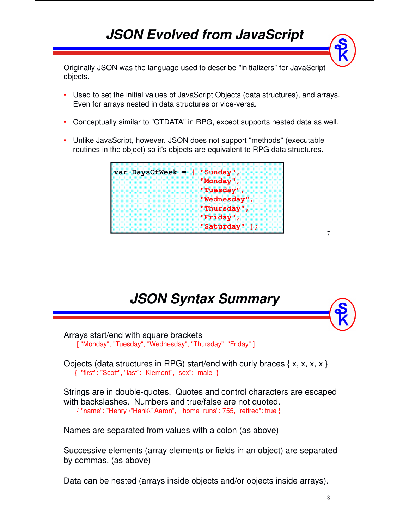## **JSON Evolved from JavaScript**

Originally JSON was the language used to describe "initializers" for JavaScript objects.

- • Used to set the initial values of JavaScript Objects (data structures), and arrays. Even for arrays nested in data structures or vice-versa.
- •Conceptually similar to "CTDATA" in RPG, except supports nested data as well.
- • Unlike JavaScript, however, JSON does not support "methods" (executable routines in the object) so it's objects are equivalent to RPG data structures.

| "Monday",                  |
|----------------------------|
| "Tuesday",<br>"Wednesday", |
| "Thursday",                |
| "Friday",<br>"Saturday" ]; |

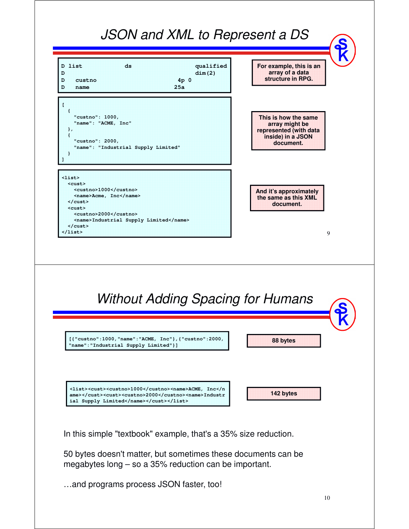

…and programs process JSON faster, too!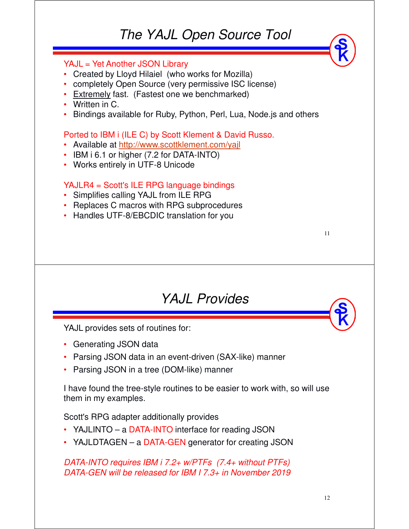#### *The YAJL Open Source Tool*

#### YAJL = Yet Another JSON Library

- Created by Lloyd Hilaiel (who works for Mozilla)
- completely Open Source (very permissive ISC license)
- Extremely fast. (Fastest one we benchmarked)<br>
Meitter in C
- Written in C.
- Bindings available for Ruby, Python, Perl, Lua, Node.js and others

#### Ported to IBM i (ILE C) by Scott Klement & David Russo.

- Available at http://www.scottklement.com/yajl
- IBM i 6.1 or higher (7.2 for DATA-INTO)
- Works entirely in UTF-8 Unicode

#### YAJLR4 = Scott's ILE RPG language bindings

- Simplifies calling YAJL from ILE RPG
- Replaces C macros with RPG subprocedures
- Handles UTF-8/EBCDIC translation for you

#### *YAJL Provides*

YAJL provides sets of routines for:

- Generating JSON data
- Parsing JSON data in an event-driven (SAX-like) manner
- •Parsing JSON in a tree (DOM-like) manner

I have found the tree-style routines to be easier to work with, so will use them in my examples.

Scott's RPG adapter additionally provides

- YAJLINTO a DATA-INTO interface for reading JSON
- YAJLDTAGEN <sup>a</sup> DATA-GEN generator for creating JSON

#### *DATA-INTO requires IBM i 7.2+ w/PTFs (7.4+ without PTFs) DATA-GEN will be released for IBM I 7.3+ in November 2019*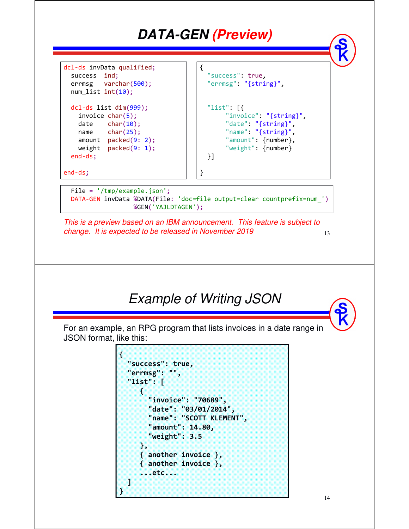

**...etc...**

**] }**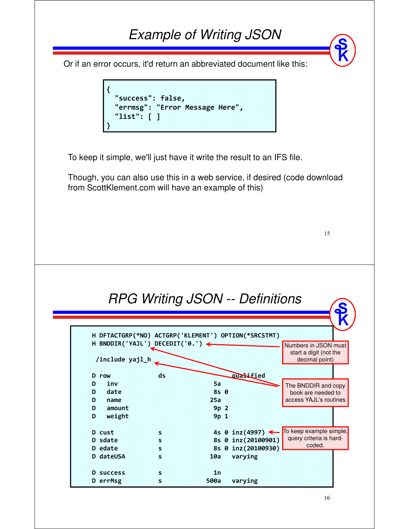#### 15 *Example of Writing JSON* Or if an error occurs, it'd return an abbreviated document like this: **{ "success": false, "errmsg": "Error Message Here", "list": [ ] }** To keep it simple, we'll just have it write the result to an IFS file. Though, you can also use this in a web service, if desired (code download from ScottKlement.com will have an example of this) *RPG Writing JSON -- Definitions* **H DFTACTGRP(\*NO) ACTGRP('KLEMENT') OPTION(\*SRCSTMT) H BNDDIR('YAJL') DECEDIT('0.') /include yajl\_h** D row ds **qualified D inv 5a D date 8s 0 D name 25a D amount 9p 2 D weight 9p 1 D** cust **b s** 4s 0 inz(4997) <<br> **D** sdate **b** 5 8s 0 inz(20100901) **D** sdate<br> **D** edate<br> **D** edate<br> **S** 8s 0 inz(20100930) **8s 0 inz(20100930)**<br>**10a** varying **D dateUSA s 10a varying** D success s 1n **D errMsg s 500a varying** Numbers in JSON must start a digit (not the decimal point) The BNDDIR and copy book are needed to access YAJL's routines To keep example simple, query criteria is hardcoded.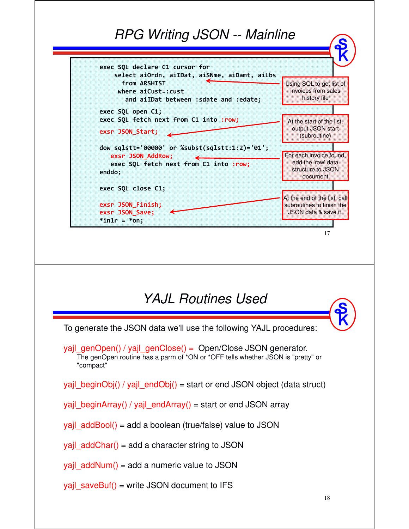#### *RPG Writing JSON -- Mainline*



#### *YAJL Routines Used*

To generate the JSON data we'll use the following YAJL procedures:

yajl\_genOpen() / yajl\_genClose() = Open/Close JSON generator. The genOpen routine has a parm of \*ON or \*OFF tells whether JSON is "pretty" or "compact"

yajl\_beginObj() / yajl\_endObj() = start or end JSON object (data struct)

yajl\_beginArray() / yajl\_endArray() = start or end JSON array

yajl\_addBool() = add a boolean (true/false) value to JSON

vail  $addChar() = add a character string to JSON$ 

 $yaj$  addNum() = add a numeric value to JSON

yajl\_saveBuf() = write JSON document to IFS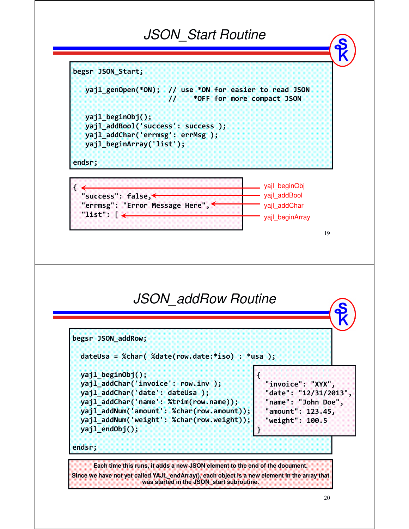#### *JSON\_Start Routine*



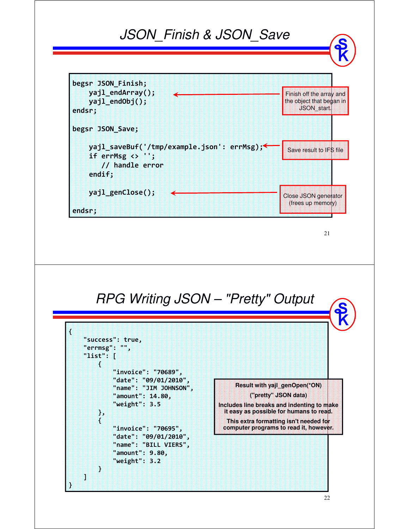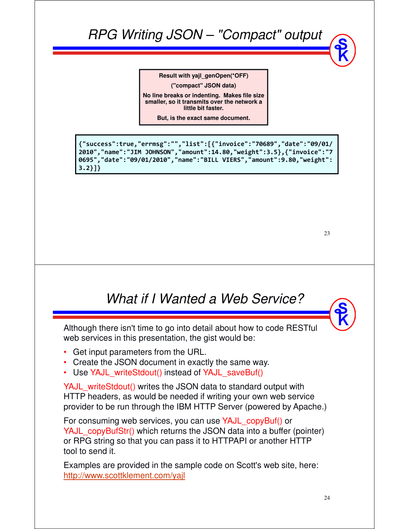## *RPG Writing JSON – "Compact" output*

**Result with yajl\_genOpen(\*OFF)**

**("compact" JSON data)**

**No line breaks or indenting. Makes file size smaller, so it transmits over the network a little bit faster.**

**But, is the exact same document.**

**{"success":true,"errmsg":"","list":[{"invoice":"70689","date":"09/01/ 2010","name":"JIM JOHNSON","amount":14.80,"weight":3.5},{"invoice":"7 0695","date":"09/01/2010","name":"BILL VIERS","amount":9.80,"weight": 3.2}]}**

23

## *What if I Wanted a Web Service?*

Although there isn't time to go into detail about how to code RESTful web services in this presentation, the gist would be:

- Get input parameters from the URL.
- Create the JSON document in exactly the same way.
- Use YAJL\_writeStdout() instead of YAJL\_saveBuf()

YAJL\_writeStdout() writes the JSON data to standard output with HTTP headers, as would be needed if writing your own web service provider to be run through the IBM HTTP Server (powered by Apache.)

For consuming web services, you can use YAJL\_copyBuf() or YAJL\_copyBufStr() which returns the JSON data into a buffer (pointer) or RPG string so that you can pass it to HTTPAPI or another HTTP tool to send it.

Examples are provided in the sample code on Scott's web site, here: http://www.scottklement.com/yajl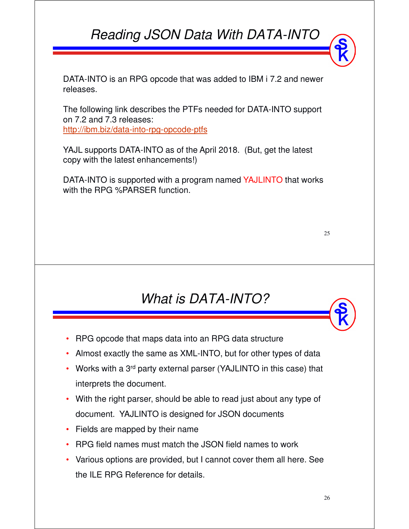## *Reading JSON Data With DATA-INTO*

DATA-INTO is an RPG opcode that was added to IBM i 7.2 and newer releases.

The following link describes the PTFs needed for DATA-INTO support on 7.2 and 7.3 releases: http://ibm.biz/data-into-rpg-opcode-ptfs

YAJL supports DATA-INTO as of the April 2018. (But, get the latest copy with the latest enhancements!)

DATA-INTO is supported with a program named YAJLINTO that works with the RPG %PARSER function.

25

## *What is DATA-INTO?*

- •RPG opcode that maps data into an RPG data structure
- Almost exactly the same as XML-INTO, but for other types of data
- Works with a 3<sup>rd</sup> party external parser (YAJLINTO in this case) that interprets the document.
- With the right parser, should be able to read just about any type of document. YAJLINTO is designed for JSON documents
- Fields are mapped by their name
- •RPG field names must match the JSON field names to work
- Various options are provided, but I cannot cover them all here. See the ILE RPG Reference for details.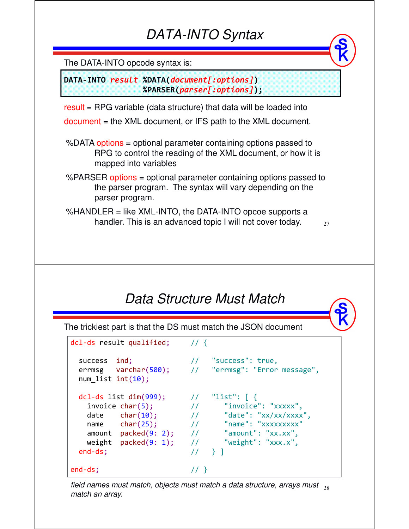## *DATA-INTO Syntax*

The DATA-INTO opcode syntax is:

**DATA-INTO** *result* **%DATA(***document[:options]***) %PARSER(***parser[:options]***);**

result = RPG variable (data structure) that data will be loaded into

document = the XML document, or IFS path to the XML document.

%DATA options = optional parameter containing options passed to RPG to control the reading of the XML document, or how it is mapped into variables

%PARSER options = optional parameter containing options passed to the parser program. The syntax will vary depending on the parser program.

%HANDLER = like XML-INTO, the DATA-INTO opcoe supports a handler. This is an advanced topic I will not cover today.

27

## *Data Structure Must Match*

The trickiest part is that the DS must match the JSON document

| dcl-ds result qualified;                                                                                                                                        | 11 <sup>4</sup>                                                                                                                                                                                                                                                                                                                                                                                                                                                                                                                                                                                                                                                                                                                                                                                                                                                                                                                                                                                                                                                                                                          |
|-----------------------------------------------------------------------------------------------------------------------------------------------------------------|--------------------------------------------------------------------------------------------------------------------------------------------------------------------------------------------------------------------------------------------------------------------------------------------------------------------------------------------------------------------------------------------------------------------------------------------------------------------------------------------------------------------------------------------------------------------------------------------------------------------------------------------------------------------------------------------------------------------------------------------------------------------------------------------------------------------------------------------------------------------------------------------------------------------------------------------------------------------------------------------------------------------------------------------------------------------------------------------------------------------------|
| success ind;<br>num list $int(10)$ ;                                                                                                                            | // "success": true,<br>errmsg varchar(500); // "errmsg": "Error message",                                                                                                                                                                                                                                                                                                                                                                                                                                                                                                                                                                                                                                                                                                                                                                                                                                                                                                                                                                                                                                                |
| $dcl-ds$ list $dim(999)$ ;<br>invoice char(5);<br>$date$ $char(10);$<br>$name$ $char(25)$ ;<br>$amount$ packed $(9: 2)$ ;<br>weight $packet(9: 1)$ ;<br>end-ds; | "list": $\lceil \ \ \{ \ \ \}$<br>$\frac{1}{2}$<br>"invoice": "xxxxx",<br>$\frac{1}{2}$<br>$\frac{1}{2}$ $\frac{1}{2}$ $\frac{1}{2}$ $\frac{1}{2}$ $\frac{1}{2}$ $\frac{1}{2}$ $\frac{1}{2}$ $\frac{1}{2}$ $\frac{1}{2}$ $\frac{1}{2}$ $\frac{1}{2}$ $\frac{1}{2}$ $\frac{1}{2}$ $\frac{1}{2}$ $\frac{1}{2}$ $\frac{1}{2}$ $\frac{1}{2}$ $\frac{1}{2}$ $\frac{1}{2}$ $\frac{1}{2}$ $\frac{1}{2}$ $\frac{1}{2}$<br>// "name": "xxxxxxxxx"<br>$\frac{1}{2}$ $\frac{1}{2}$ $\frac{1}{2}$ $\frac{1}{2}$ $\frac{1}{2}$ $\frac{1}{2}$ $\frac{1}{2}$ $\frac{1}{2}$ $\frac{1}{2}$ $\frac{1}{2}$ $\frac{1}{2}$ $\frac{1}{2}$ $\frac{1}{2}$ $\frac{1}{2}$ $\frac{1}{2}$ $\frac{1}{2}$ $\frac{1}{2}$ $\frac{1}{2}$ $\frac{1}{2}$ $\frac{1}{2}$ $\frac{1}{2}$ $\frac{1}{2}$<br>$\frac{1}{2}$ $\frac{1}{2}$ $\frac{1}{2}$ $\frac{1}{2}$ $\frac{1}{2}$ $\frac{1}{2}$ $\frac{1}{2}$ $\frac{1}{2}$ $\frac{1}{2}$ $\frac{1}{2}$ $\frac{1}{2}$ $\frac{1}{2}$ $\frac{1}{2}$ $\frac{1}{2}$ $\frac{1}{2}$ $\frac{1}{2}$ $\frac{1}{2}$ $\frac{1}{2}$ $\frac{1}{2}$ $\frac{1}{2}$ $\frac{1}{2}$ $\frac{1}{2}$<br>$\prime\prime$<br>$\uparrow$ 1 |
| $end-ds$ ;                                                                                                                                                      |                                                                                                                                                                                                                                                                                                                                                                                                                                                                                                                                                                                                                                                                                                                                                                                                                                                                                                                                                                                                                                                                                                                          |

field names must match, objects must match a data structure, arrays must  $_{\,28}$ *match an array.*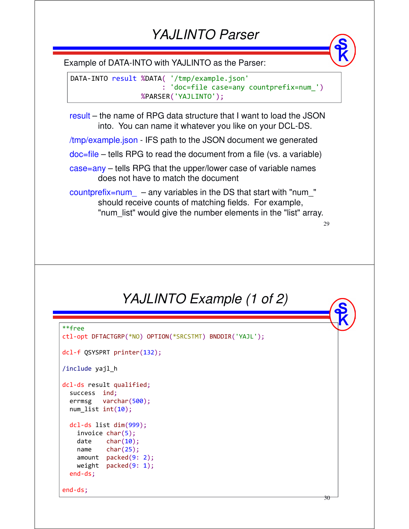#### *YAJLINTO Parser*

Example of DATA-INTO with YAJLINTO as the Parser:

DATA-INTO result %DATA( '/tmp/example.json' : 'doc=file case=any countprefix=num\_') %PARSER('YAJLINTO');

result – the name of RPG data structure that I want to load the JSON into. You can name it whatever you like on your DCL-DS.

/tmp/example.json - IFS path to the JSON document we generated

doc=file – tells RPG to read the document from a file (vs. a variable)

case=any – tells RPG that the upper/lower case of variable names does not have to match the document

 $countprefix = num$  – any variables in the DS that start with "num " should receive counts of matching fields. For example, "num\_list" would give the number elements in the "list" array.

29

30

*YAJLINTO Example (1 of 2)* 

```
**free
ctl-opt DFTACTGRP(*NO) OPTION(*SRCSTMT) BNDDIR('YAJL');
dcl-f QSYSPRT printer(132);
/include yajl_h
dcl-ds result qualified;
  success ind;
  errmsg varchar(500);
  num_list int(10);
  dcl-ds list dim(999);
    invoice char(5);
   date char(10);
   name char(25);
   amount packed(9: 2);
   weight packed(9: 1);
  end-ds;
end-ds;
```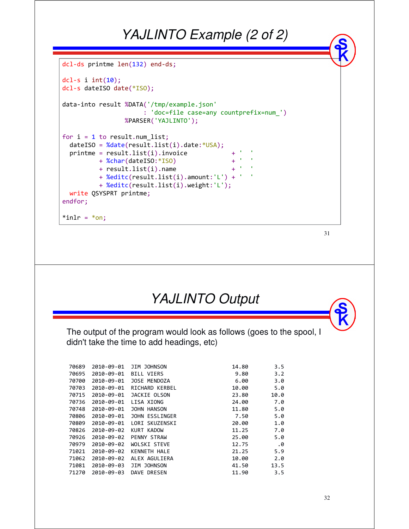#### *YAJLINTO Example (2 of 2)*

```
dcl-ds printme len(132) end-ds;
dcl-s i int(10);
dcl-s dateISO date(*ISO);
data-into result %DATA('/tmp/example.json'
                    : 'doc=file case=any countprefix=num_')
                %PARSER('YAJLINTO');
for i = 1 to result.num list;
  dateISO = %date(result.list(i).date:*USA);printme = result. list(i).invoice+ %char(dateISO:*ISO) + ' '
        + result.list(i).name + ' '
        + %editc(result.list(i).amount:'L') + ' '
        + %editc(result.list(i).weight:'L');
 write QSYSPRT printme;
endfor;
*inlr = *on;
```

```
YAJLINTO Output
```
The output of the program would look as follows (goes to the spool, I didn't take the time to add headings, etc)

| 70689 | 2010-09-01 | JIM JOHNSON         | 14.80 | 3.5  |
|-------|------------|---------------------|-------|------|
| 70695 | 2010-09-01 | BILL VIERS          | 9.80  | 3.2  |
| 70700 | 2010-09-01 | JOSE MENDOZA        | 6.00  | 3.0  |
| 70703 | 2010-09-01 | RICHARD KERBEL      | 10.00 | 5.0  |
| 70715 | 2010-09-01 | JACKIE OLSON        | 23.80 | 10.0 |
| 70736 | 2010-09-01 | LISA XIONG          | 24.00 | 7.0  |
| 70748 | 2010-09-01 | JOHN HANSON         | 11.80 | 5.0  |
| 70806 | 2010-09-01 | JOHN ESSLINGER      | 7.50  | 5.0  |
| 70809 | 2010-09-01 | LORI SKUZENSKI      | 20.00 | 1.0  |
| 70826 | 2010-09-02 | KURT KADOW          | 11.25 | 7.0  |
| 70926 | 2010-09-02 | PENNY STRAW         | 25.00 | 5.0  |
| 70979 | 2010-09-02 | <b>WOLSKI STEVE</b> | 12.75 | .0   |
| 71021 | 2010-09-02 | KENNETH HALE        | 21.25 | 5.9  |
| 71062 | 2010-09-02 | ALEX AGULIERA       | 10.00 | 2.0  |
| 71081 | 2010-09-03 | JIM JOHNSON         | 41.50 | 13.5 |
| 71270 | 2010-09-03 | DAVE DRESEN         | 11.90 | 3.5  |
|       |            |                     |       |      |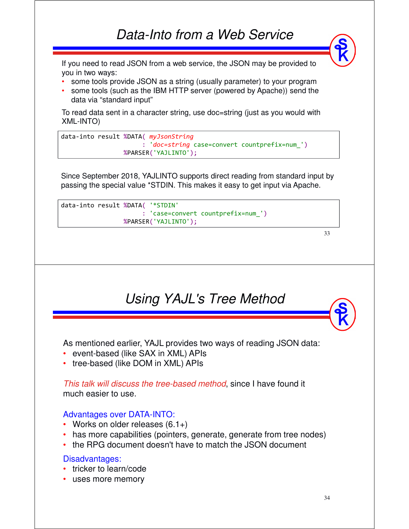If you need to read JSON from a web service, the JSON may be provided to you in two ways:

- some tools provide JSON as a string (usually parameter) to your program
- some tools (such as the IBM HTTP server (powered by Apache)) send the data via "standard input"

To read data sent in a character string, use doc=string (just as you would with XML-INTO)

```
data-into result %DATA( myJsonString
                      : 'doc=string case=convert countprefix=num_')
                %PARSER('YAJLINTO');
```
Since September 2018, YAJLINTO supports direct reading from standard input by passing the special value \*STDIN. This makes it easy to get input via Apache.

```
data-into result %DATA( '*STDIN'
                      : 'case=convert countprefix=num_')
                 %PARSER('YAJLINTO');
```

```
33
```
## *Using YAJL's Tree Method*

As mentioned earlier, YAJL provides two ways of reading JSON data:

- event-based (like SAX in XML) APIs
- tree-based (like DOM in XML) APIs

*This talk will discuss the tree-based method*, since I have found it much easier to use.

#### Advantages over DATA-INTO:

- Works on older releases (6.1+)
- has more capabilities (pointers, generate, generate from tree nodes)
- the RPG document doesn't have to match the JSON document

#### Disadvantages:

- tricker to learn/code
- uses more memory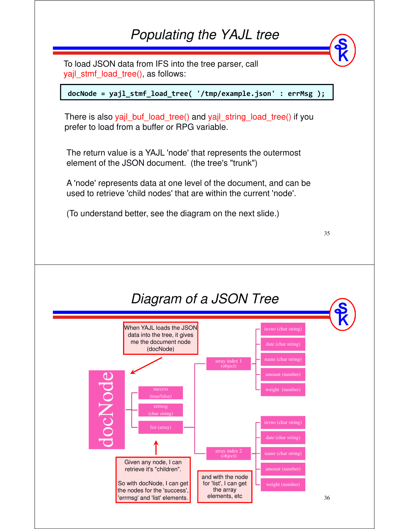#### *Populating the YAJL tree*

To load JSON data from IFS into the tree parser, call vail\_stmf\_load\_tree(), as follows:

**docNode = yajl\_stmf\_load\_tree( '/tmp/example.json' : errMsg );**

There is also yajl buf load tree() and yajl string load tree() if you prefer to load from a buffer or RPG variable.

The return value is a YAJL 'node' that represents the outermost element of the JSON document. (the tree's "trunk")

A 'node' represents data at one level of the document, and can be used to retrieve 'child nodes' that are within the current 'node'.

35

(To understand better, see the diagram on the next slide.)

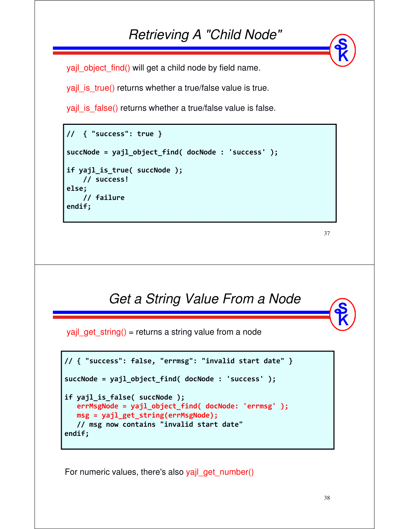#### *Retrieving A "Child Node"*

yajl\_object\_find() will get a child node by field name.

yajl is true() returns whether a true/false value is true.

yajl\_is\_false() returns whether a true/false value is false.

```
// { "success": true }
succNode = yajl_object_find( docNode : 'success' );
if yajl_is_true( succNode );
    // success!
else;
    // failure
endif;
```
37

# *Get a String Value From a Node* **// { "success": false, "errmsg": "invalid start date" } succNode = yajl\_object\_find( docNode : 'success' ); if yajl\_is\_false( succNode ); errMsgNode = yajl\_object\_find( docNode: 'errmsg' );** yajl\_get\_string() = returns a string value from a node

```
msg = yajl_get_string(errMsgNode);
  // msg now contains "invalid start date"
endif;
```
For numeric values, there's also yajl\_get\_number()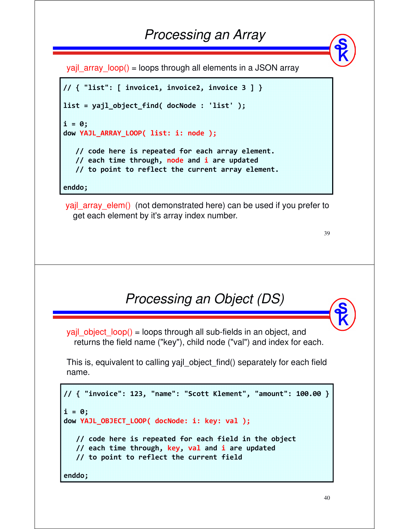## *Processing an Array*

yajl array  $loop() = loops$  through all elements in a JSON array

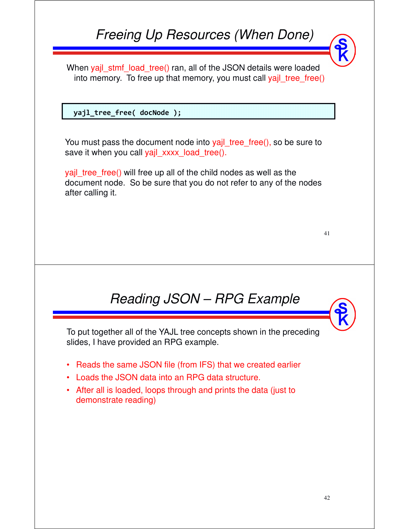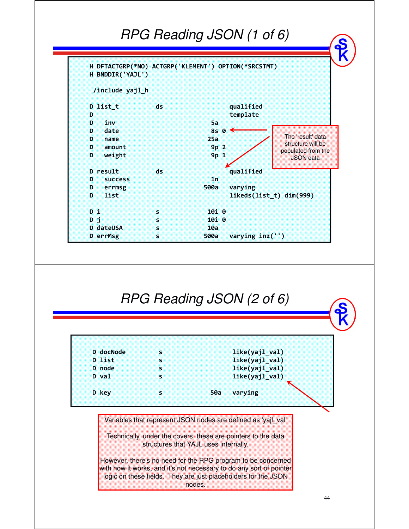#### *RPG Reading JSON (1 of 6)*



#### *RPG Reading JSON (2 of 6)*

|  | like(yajl_val)<br>like(yajl_val)<br>like(yajl_val)<br>like(yajl_val)<br>50a varying |
|--|-------------------------------------------------------------------------------------|

Variables that represent JSON nodes are defined as 'yajl\_val'

Technically, under the covers, these are pointers to the data structures that YAJL uses internally.

However, there's no need for the RPG program to be concerned with how it works, and it's not necessary to do any sort of pointer logic on these fields. They are just placeholders for the JSON nodes.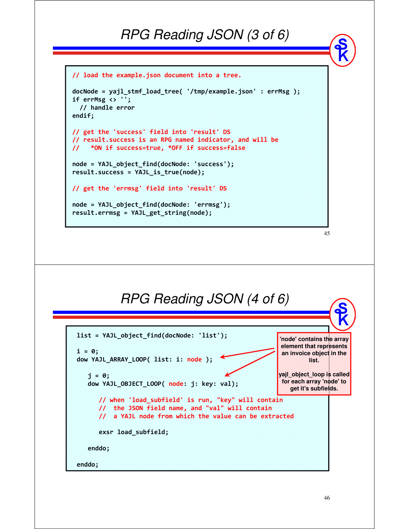#### *RPG Reading JSON (3 of 6)*

```
// load the example.json document into a tree.
docNode = yajl_stmf_load_tree( '/tmp/example.json' : errMsg );
if errMsg <> '';
  // handle error
endif;
// get the 'success' field into 'result' DS
// result.success is an RPG named indicator, and will be 
// *ON if success=true, *OFF if success=false
node = YAJL_object_find(docNode: 'success');
result.success = YAJL_is_true(node);
// get the 'errmsg' field into 'result' DS
node = YAJL_object_find(docNode: 'errmsg');
result.errmsg = YAJL_get_string(node);
```


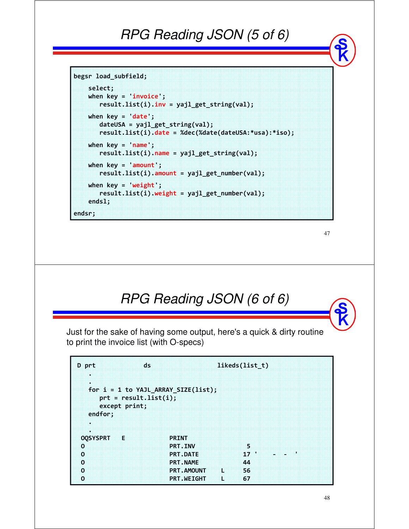## *RPG Reading JSON (5 of 6)*

```
begsr load_subfield;
    select;
    when key = 'invoice';
       result.list(i).inv = yajl_get_string(val);
   when key = 'date';
       dateUSA = yajl_get_string(val);
       result.list(i).date = %dec(%date(dateUSA:*usa):*iso);
   when key = 'name';
       result.list(i).name = yajl_get_string(val);
    when key = 'amount';
       result.list(i).amount = yajl_get_number(val);
   when key = 'weight';
       result.list(i).weight = yajl_get_number(val);
    endsl;
endsr;
```

```
47
```
## *RPG Reading JSON (6 of 6)*

Just for the sake of having some output, here's a quick & dirty routine to print the invoice list (with O-specs)

| D prt<br>ж      | ds:                                       |                                       |    | likeds(list t)  |   |  |
|-----------------|-------------------------------------------|---------------------------------------|----|-----------------|---|--|
| 98<br>endfor;   | $prt = resultu.list(i);$<br>except print; | for $i = 1$ to YAJL_ARRAY_SIZE(list); |    |                 |   |  |
| ×               |                                           |                                       |    |                 |   |  |
| ж               |                                           |                                       |    |                 |   |  |
| <b>OQSYSPRT</b> | 88                                        | PRINT                                 |    |                 |   |  |
| о               |                                           | <b>PRT.INV</b>                        |    | 35              |   |  |
| O               |                                           | <b>PRT.DATE</b>                       |    | 17 <sup>2</sup> | н |  |
| $\overline{0}$  |                                           | <b>PRT.NAME</b>                       |    | 44              |   |  |
| O               |                                           | <b>PRT.AMOUNT</b>                     | 18 | 56              |   |  |
| ö               |                                           | <b>PRT METGHT</b>                     | 18 | 67              |   |  |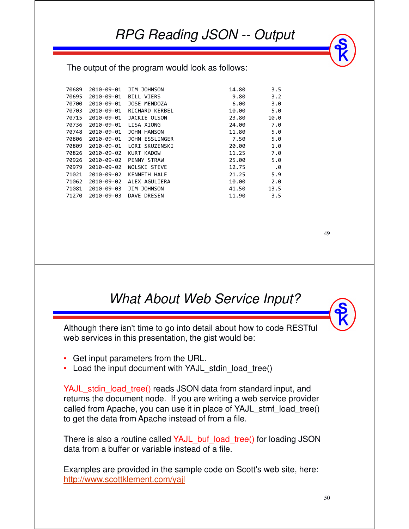The output of the program would look as follows:

| 70689 | 2010-09-01 | JIM JOHNSON       | 14.80 | 3.5  |
|-------|------------|-------------------|-------|------|
| 70695 | 2010-09-01 | <b>BILL VIERS</b> | 9.80  | 3.2  |
| 70700 | 2010-09-01 | JOSE MENDOZA      | 6.00  | 3.0  |
| 70703 | 2010-09-01 | RICHARD KERBEL    | 10.00 | 5.0  |
| 70715 | 2010-09-01 | JACKIE OLSON      | 23.80 | 10.0 |
| 70736 | 2010-09-01 | LISA XIONG        | 24.00 | 7.0  |
| 70748 | 2010-09-01 | JOHN HANSON       | 11.80 | 5.0  |
| 70806 | 2010-09-01 | JOHN ESSLINGER    | 7.50  | 5.0  |
| 70809 | 2010-09-01 | LORI SKUZENSKI    | 20.00 | 1.0  |
| 70826 | 2010-09-02 | KURT KADOW        | 11.25 | 7.0  |
| 70926 | 2010-09-02 | PENNY STRAW       | 25.00 | 5.0  |
| 70979 | 2010-09-02 | WOLSKI STEVE      | 12.75 | .0   |
| 71021 | 2010-09-02 | KENNETH HALE      | 21.25 | 5.9  |
| 71062 | 2010-09-02 | ALEX AGULIERA     | 10.00 | 2.0  |
| 71081 | 2010-09-03 | JIM JOHNSON       | 41.50 | 13.5 |
| 71270 | 2010-09-03 | DAVE DRESEN       | 11.90 | 3.5  |



#### *What About Web Service Input?*

Although there isn't time to go into detail about how to code RESTful web services in this presentation, the gist would be:

- •Get input parameters from the URL.
- •Load the input document with YAJL\_stdin\_load\_tree()

YAJL\_stdin\_load\_tree() reads JSON data from standard input, and returns the document node. If you are writing a web service provider called from Apache, you can use it in place of YAJL\_stmf\_load\_tree() to get the data from Apache instead of from a file.

There is also a routine called YAJL\_buf\_load\_tree() for loading JSON data from a buffer or variable instead of a file.

Examples are provided in the sample code on Scott's web site, here: http://www.scottklement.com/yajl